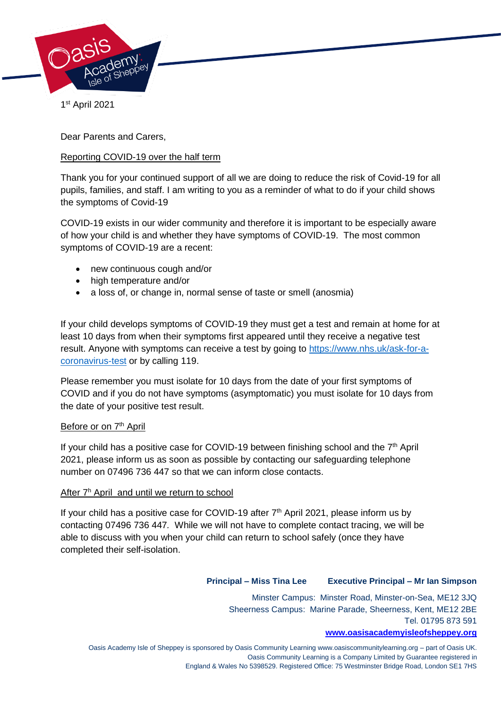

1 st April 2021

Dear Parents and Carers,

# Reporting COVID-19 over the half term

Thank you for your continued support of all we are doing to reduce the risk of Covid-19 for all pupils, families, and staff. I am writing to you as a reminder of what to do if your child shows the symptoms of Covid-19

COVID-19 exists in our wider community and therefore it is important to be especially aware of how your child is and whether they have symptoms of COVID-19. The most common symptoms of COVID-19 are a recent:

- new continuous cough and/or
- high temperature and/or
- a loss of, or change in, normal sense of taste or smell (anosmia)

If your child develops symptoms of COVID-19 they must get a test and remain at home for at least 10 days from when their symptoms first appeared until they receive a negative test result. Anyone with symptoms can receive a test by going to [https://www.nhs.uk/ask-for-a](https://www.nhs.uk/ask-for-a-coronavirus-test)[coronavirus-test](https://www.nhs.uk/ask-for-a-coronavirus-test) or by calling 119.

Please remember you must isolate for 10 days from the date of your first symptoms of COVID and if you do not have symptoms (asymptomatic) you must isolate for 10 days from the date of your positive test result.

#### Before or on 7<sup>th</sup> April

If your child has a positive case for COVID-19 between finishing school and the  $7<sup>th</sup>$  April 2021, please inform us as soon as possible by contacting our safeguarding telephone number on 07496 736 447 so that we can inform close contacts.

#### After 7<sup>h</sup> April and until we return to school

If your child has a positive case for COVID-19 after  $7<sup>th</sup>$  April 2021, please inform us by contacting 07496 736 447*.* While we will not have to complete contact tracing, we will be able to discuss with you when your child can return to school safely (once they have completed their self-isolation.

## **Principal – Miss Tina Lee Executive Principal – Mr Ian Simpson**

Minster Campus: Minster Road, Minster-on-Sea, ME12 3JQ Sheerness Campus: Marine Parade, Sheerness, Kent, ME12 2BE Tel. 01795 873 591

### **[www.oasisacademyisleofsheppey.org](http://www.oasisacademyisleofsheppey.org/)**